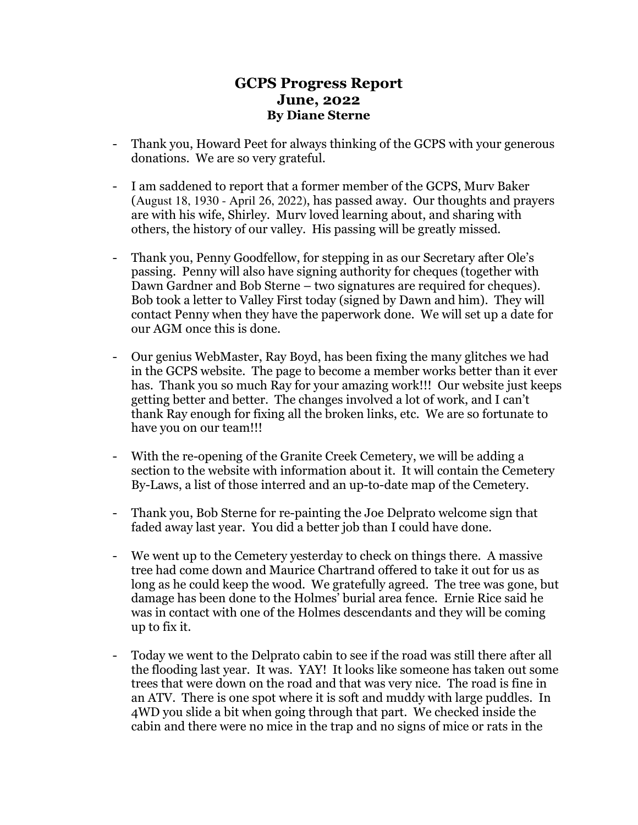## **GCPS Progress Report June, 2022 By Diane Sterne**

- Thank you, Howard Peet for always thinking of the GCPS with your generous donations. We are so very grateful.
- I am saddened to report that a former member of the GCPS, Murv Baker (August 18, 1930 - April 26, 2022), has passed away. Our thoughts and prayers are with his wife, Shirley. Murv loved learning about, and sharing with others, the history of our valley. His passing will be greatly missed.
- Thank you, Penny Goodfellow, for stepping in as our Secretary after Ole's passing. Penny will also have signing authority for cheques (together with Dawn Gardner and Bob Sterne – two signatures are required for cheques). Bob took a letter to Valley First today (signed by Dawn and him). They will contact Penny when they have the paperwork done. We will set up a date for our AGM once this is done.
- Our genius WebMaster, Ray Boyd, has been fixing the many glitches we had in the GCPS website. The page to become a member works better than it ever has. Thank you so much Ray for your amazing work!!! Our website just keeps getting better and better. The changes involved a lot of work, and I can't thank Ray enough for fixing all the broken links, etc. We are so fortunate to have you on our team!!!
- With the re-opening of the Granite Creek Cemetery, we will be adding a section to the website with information about it. It will contain the Cemetery By-Laws, a list of those interred and an up-to-date map of the Cemetery.
- Thank you, Bob Sterne for re-painting the Joe Delprato welcome sign that faded away last year. You did a better job than I could have done.
- We went up to the Cemetery yesterday to check on things there. A massive tree had come down and Maurice Chartrand offered to take it out for us as long as he could keep the wood. We gratefully agreed. The tree was gone, but damage has been done to the Holmes' burial area fence. Ernie Rice said he was in contact with one of the Holmes descendants and they will be coming up to fix it.
- Today we went to the Delprato cabin to see if the road was still there after all the flooding last year. It was. YAY! It looks like someone has taken out some trees that were down on the road and that was very nice. The road is fine in an ATV. There is one spot where it is soft and muddy with large puddles. In 4WD you slide a bit when going through that part. We checked inside the cabin and there were no mice in the trap and no signs of mice or rats in the